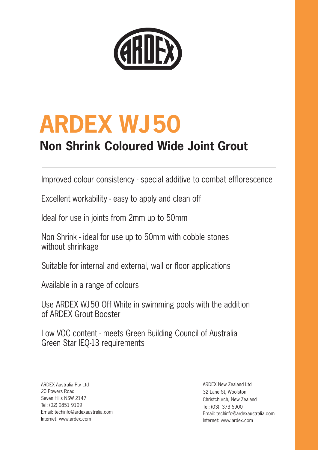

# **ARDEX WJ50**

## **Non Shrink Coloured Wide Joint Grout**

Improved colour consistency - special additive to combat efflorescence

Excellent workability - easy to apply and clean off

Ideal for use in joints from 2mm up to 50mm

Non Shrink - ideal for use up to 50mm with cobble stones without shrinkage

Suitable for internal and external, wall or floor applications

Available in a range of colours

Use ARDEX WJ50 Off White in swimming pools with the addition of ARDEX Grout Booster

Low VOC content - meets Green Building Council of Australia Green Star IEQ-13 requirements

ARDEX Australia Pty Ltd 20 Powers Road Seven Hills NSW 2147 Tel: (02) 9851 9199 Email: techinfo@ardexaustralia.com Internet: www.ardex.com

ARDEX New Zealand Ltd 32 Lane St, Woolston Christchurch, New Zealand Tel: (03) 373 6900 Email: techinfo@ardexaustralia.com Internet: www.ardex.com